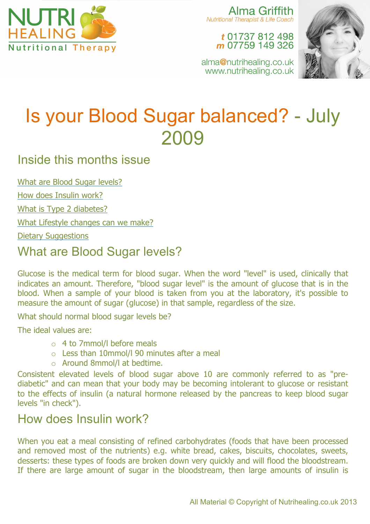

Alma Griffith Nutritional Therapist & Life Coach

#### t 01737 812 498 m 07759 149 326

alma@nutrihealing.co.uk www.nutrihealing.co.uk



# Is your Blood Sugar balanced? - July 2009

### Inside this months issue

What are Blood Sugar levels?

How does Insulin work?

What is Type 2 diabetes?

What Lifestyle changes can we make?

Dietary Suggestions

# What are Blood Sugar levels?

Glucose is the medical term for blood sugar. When the word "level" is used, clinically that indicates an amount. Therefore, "blood sugar level" is the amount of glucose that is in the blood. When a sample of your blood is taken from you at the laboratory, it's possible to measure the amount of sugar (glucose) in that sample, regardless of the size.

What should normal blood sugar levels be?

The ideal values are:

- o 4 to 7mmol/l before meals
- $\circ$  Less than 10mmol/l 90 minutes after a meal
- o Around 8mmol/l at bedtime.

Consistent elevated levels of blood sugar above 10 are commonly referred to as "prediabetic" and can mean that your body may be becoming intolerant to glucose or resistant to the effects of insulin (a natural hormone released by the pancreas to keep blood sugar levels "in check").

# How does Insulin work?

When you eat a meal consisting of refined carbohydrates (foods that have been processed and removed most of the nutrients) e.g. white bread, cakes, biscuits, chocolates, sweets, desserts: these types of foods are broken down very quickly and will flood the bloodstream. If there are large amount of sugar in the bloodstream, then large amounts of insulin is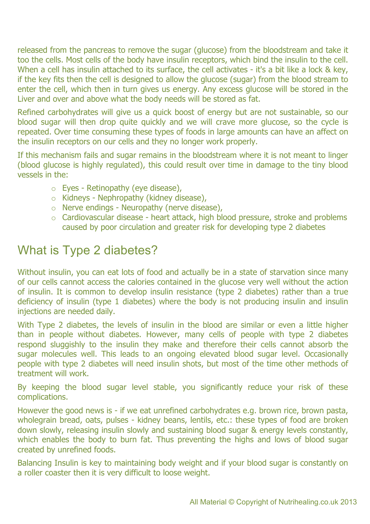released from the pancreas to remove the sugar (glucose) from the bloodstream and take it too the cells. Most cells of the body have insulin receptors, which bind the insulin to the cell. When a cell has insulin attached to its surface, the cell activates - it's a bit like a lock & key, if the key fits then the cell is designed to allow the glucose (sugar) from the blood stream to enter the cell, which then in turn gives us energy. Any excess glucose will be stored in the Liver and over and above what the body needs will be stored as fat.

Refined carbohydrates will give us a quick boost of energy but are not sustainable, so our blood sugar will then drop quite quickly and we will crave more glucose, so the cycle is repeated. Over time consuming these types of foods in large amounts can have an affect on the insulin receptors on our cells and they no longer work properly.

If this mechanism fails and sugar remains in the bloodstream where it is not meant to linger (blood glucose is highly regulated), this could result over time in damage to the tiny blood vessels in the:

- o Eyes Retinopathy (eye disease),
- o Kidneys Nephropathy (kidney disease),
- o Nerve endings Neuropathy (nerve disease),
- o Cardiovascular disease heart attack, high blood pressure, stroke and problems caused by poor circulation and greater risk for developing type 2 diabetes

## What is Type 2 diabetes?

Without insulin, you can eat lots of food and actually be in a state of starvation since many of our cells cannot access the calories contained in the glucose very well without the action of insulin. It is common to develop insulin resistance (type 2 diabetes) rather than a true deficiency of insulin (type 1 diabetes) where the body is not producing insulin and insulin injections are needed daily.

With Type 2 diabetes, the levels of insulin in the blood are similar or even a little higher than in people without diabetes. However, many cells of people with type 2 diabetes respond sluggishly to the insulin they make and therefore their cells cannot absorb the sugar molecules well. This leads to an ongoing elevated blood sugar level. Occasionally people with type 2 diabetes will need insulin shots, but most of the time other methods of treatment will work.

By keeping the blood sugar level stable, you significantly reduce your risk of these complications.

However the good news is - if we eat unrefined carbohydrates e.g. brown rice, brown pasta, wholegrain bread, oats, pulses - kidney beans, lentils, etc.: these types of food are broken down slowly, releasing insulin slowly and sustaining blood sugar & energy levels constantly, which enables the body to burn fat. Thus preventing the highs and lows of blood sugar created by unrefined foods.

Balancing Insulin is key to maintaining body weight and if your blood sugar is constantly on a roller coaster then it is very difficult to loose weight.